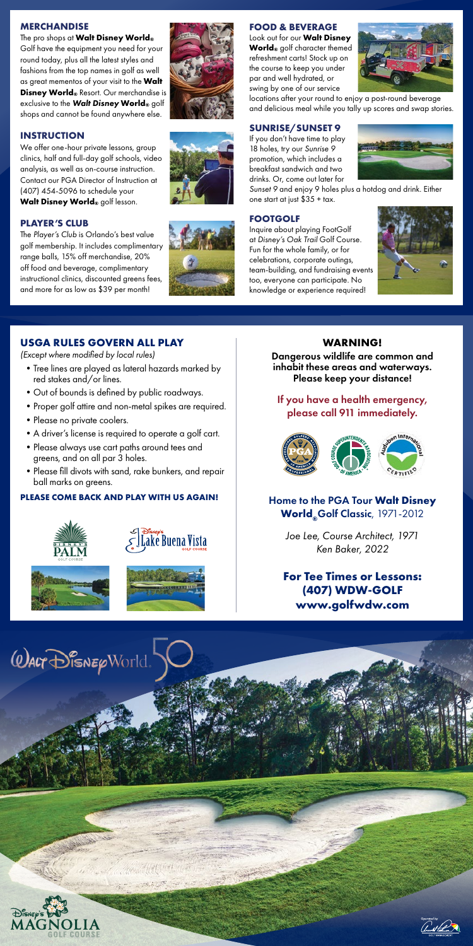# **MERCHANDISE**

The pro shops at **Walt Disney World®** Golf have the equipment you need for your round today, plus all the latest styles and fashions from the top names in golf as well as great mementos of your visit to the **Walt Disney World**<sup>®</sup> Resort. Our merchandise is exclusive to the *Walt Disney* **World®** golf shops and cannot be found anywhere else.

## **INSTRUCTION**

We offer one-hour private lessons, group clinics, half and full-day golf schools, video analysis, as well as on-course instruction. Contact our PGA Director of Instruction at (407) 454-5096 to schedule your **Walt Disney World®** golf lesson.

## **PLAYER'S CLUB**

The *Player's Club* is Orlando's best value golf membership. It includes complimentary range balls, 15% off merchandise, 20% off food and beverage, complimentary instructional clinics, discounted greens fees, and more for as low as \$39 per month!





Look out for our **Walt Disney World®** golf character themed refreshment carts! Stock up on the course to keep you under par and well hydrated, or swing by one of our service



locations after your round to enjoy a post-round beverage and delicious meal while you tally up scores and swap stories.

#### **SUNRISE/SUNSET 9**

If you don't have time to play 18 holes, try our *Sunrise 9* promotion, which includes a breakfast sandwich and two drinks. Or, come out later for *Sunset 9* and enjoy 9 holes plus a hotdog and drink. Either one start at just \$35 + tax.

#### **FOOTGOLF**

Inquire about playing FootGolf at *Disney's Oak Trail* Golf Course. Fun for the whole family, or for celebrations, corporate outings, team-building, and fundraising events too, everyone can participate. No knowledge or experience required!





# **USGA RULES GOVERN ALL PLAY**

*(Except where modified by local rules)*

- •Tree lines are played as lateral hazards marked by red stakes and/or lines.
- •Out of bounds is defined by public roadways.
- •Proper golf attire and non-metal spikes are required.
- Please no private coolers.
- •A driver's license is required to operate a golf cart.
- •Please always use cart paths around tees and greens, and on all par 3 holes.
- •Please fill divots with sand, rake bunkers, and repair ball marks on greens.

### **PLEASE COME BACK AND PLAY WITH US AGAIN!**







# **WARNING!**

Dangerous wildlife are common and inhabit these areas and waterways. Please keep your distance!

If you have a health emergency, please call 911 immediately.



# Home to the PGA Tour **Walt Disney World®**Golf Classic, 1971-2012

*Joe Lee, Course Architect, 1971 Ken Baker, 2022*

**For Tee Times or Lessons: (407) WDW-GOLF www.golfwdw.com**